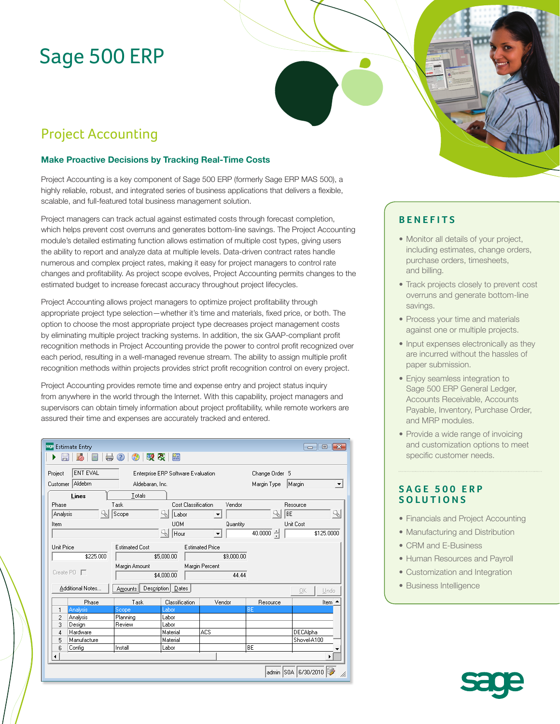# Sage 500 ERP

# Project Accounting

### **Make Proactive Decisions by Tracking Real-Time Costs**

Project Accounting is a key component of Sage 500 ERP (formerly Sage ERP MAS 500), a highly reliable, robust, and integrated series of business applications that delivers a flexible, scalable, and full-featured total business management solution.

Project managers can track actual against estimated costs through forecast completion, which helps prevent cost overruns and generates bottom-line savings. The Project Accounting module's detailed estimating function allows estimation of multiple cost types, giving users the ability to report and analyze data at multiple levels. Data-driven contract rates handle numerous and complex project rates, making it easy for project managers to control rate changes and profitability. As project scope evolves, Project Accounting permits changes to the estimated budget to increase forecast accuracy throughout project lifecycles.

Project Accounting allows project managers to optimize project profitability through appropriate project type selection—whether it's time and materials, fixed price, or both. The option to choose the most appropriate project type decreases project management costs by eliminating multiple project tracking systems. In addition, the six GAAP-compliant profit recognition methods in Project Accounting provide the power to control profit recognized over each period, resulting in a well-managed revenue stream. The ability to assign multiple profit recognition methods within projects provides strict profit recognition control on every project.

Project Accounting provides remote time and expense entry and project status inquiry from anywhere in the world through the Internet. With this capability, project managers and supervisors can obtain timely information about project profitability, while remote workers are assured their time and expenses are accurately tracked and entered.

| sage Estimate Entry<br>$\mathbf{R}$<br>- 0<br>吸吸<br>簡                                                                                                                                                         |                         |                                                          |                                                                            |                               |                                          |
|---------------------------------------------------------------------------------------------------------------------------------------------------------------------------------------------------------------|-------------------------|----------------------------------------------------------|----------------------------------------------------------------------------|-------------------------------|------------------------------------------|
| ENT EVAL<br>Project<br><b>Enterprise ERP Software Evaluation</b><br>Customer Aldebrn<br>Aldebaran, Inc.                                                                                                       |                         |                                                          |                                                                            | Change Order 5<br>Margin Type | Margin<br>$\blacktriangledown$           |
| Lines<br>Phase<br>Analysis<br>Item                                                                                                                                                                            | Totals<br>Task<br>Scope | Cost Classification<br>Labor<br><b>UOM</b><br>91<br>Hour | Vendor<br>$\overline{\phantom{a}}$<br>Quantity<br>$\vert \mathbf{v} \vert$ | BE<br>4<br>$40.0000$ $\div$   | Resource<br>9<br>Unit Cost<br>\$125,0000 |
| Unit Price<br><b>Estimated Cost</b><br><b>Estimated Price</b><br>\$225.000<br>\$5,000.00<br>\$9,000.00<br>Margin Percent<br>Margin Amount<br>Create $P0$ $\Box$<br>\$4,000.00<br>44.44<br>Description   Dates |                         |                                                          |                                                                            |                               |                                          |
| Additional Notes<br>Phase                                                                                                                                                                                     | Amounts<br>Task         | Classification                                           | Vendor                                                                     | Resource                      | ΟK.<br>Undo<br>Item                      |
| Analysis<br>1                                                                                                                                                                                                 | Scope                   | Labor                                                    |                                                                            | BE                            |                                          |
| $\overline{c}$<br>Analysis                                                                                                                                                                                    | Planning                | Labor                                                    |                                                                            |                               |                                          |
| 3<br>Design                                                                                                                                                                                                   | Review                  | Labor                                                    |                                                                            |                               |                                          |
| 4<br>Hardware                                                                                                                                                                                                 |                         | Material                                                 | <b>ACS</b>                                                                 |                               | DECAlpha                                 |
| Manufacture<br>5                                                                                                                                                                                              |                         | Material                                                 |                                                                            |                               | Shovel-A100                              |
| Config<br>6                                                                                                                                                                                                   | Install                 | Labor                                                    |                                                                            | BE                            |                                          |
| ◀                                                                                                                                                                                                             |                         |                                                          |                                                                            |                               |                                          |
| admin SOA 6/30/2010<br>h,                                                                                                                                                                                     |                         |                                                          |                                                                            |                               |                                          |

## **BENEFITS**

- Monitor all details of your project, including estimates, change orders, purchase orders, timesheets, and billing.
- Track projects closely to prevent cost overruns and generate bottom-line savings.
- Process your time and materials against one or multiple projects.
- Input expenses electronically as they are incurred without the hassles of paper submission.
- Enjoy seamless integration to Sage 500 ERP General Ledger, Accounts Receivable, Accounts Payable, Inventory, Purchase Order, and MRP modules.
- Provide a wide range of invoicing and customization options to meet specific customer needs.

### **SAGE 500 ERP SOLUTIONS**

- Financials and Project Accounting
- Manufacturing and Distribution
- CRM and E-Business
- Human Resources and Payroll
- Customization and Integration
- Business Intelligence